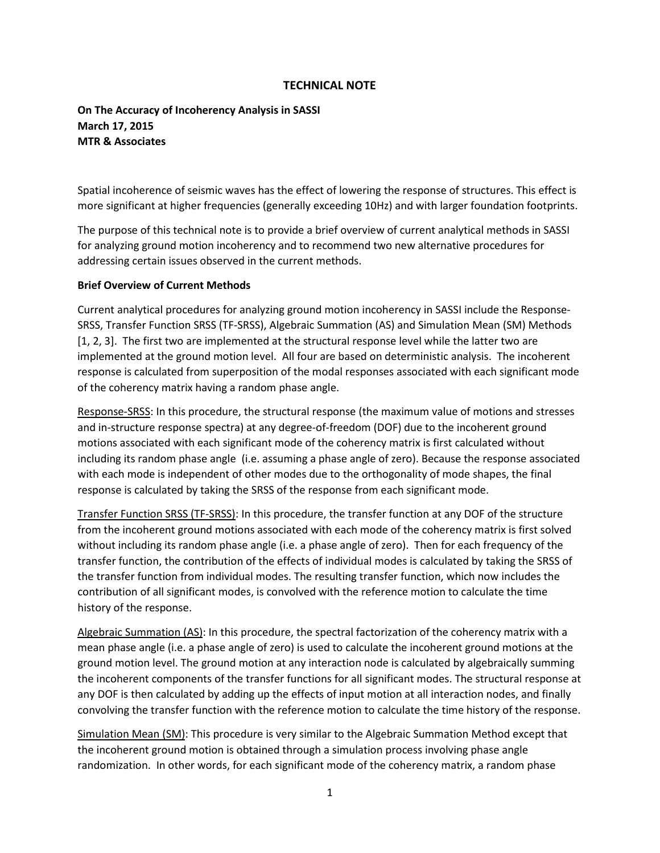## **TECHNICAL NOTE**

**On The Accuracy of Incoherency Analysis in SASSI March 17, 2015 MTR & Associates**

Spatial incoherence of seismic waves has the effect of lowering the response of structures. This effect is more significant at higher frequencies (generally exceeding 10Hz) and with larger foundation footprints.

The purpose of this technical note is to provide a brief overview of current analytical methods in SASSI for analyzing ground motion incoherency and to recommend two new alternative procedures for addressing certain issues observed in the current methods.

#### **Brief Overview of Current Methods**

Current analytical procedures for analyzing ground motion incoherency in SASSI include the Response-SRSS, Transfer Function SRSS (TF-SRSS), Algebraic Summation (AS) and Simulation Mean (SM) Methods [1, 2, 3]. The first two are implemented at the structural response level while the latter two are implemented at the ground motion level. All four are based on deterministic analysis. The incoherent response is calculated from superposition of the modal responses associated with each significant mode of the coherency matrix having a random phase angle.

Response-SRSS: In this procedure, the structural response (the maximum value of motions and stresses and in-structure response spectra) at any degree-of-freedom (DOF) due to the incoherent ground motions associated with each significant mode of the coherency matrix is first calculated without including its random phase angle (i.e. assuming a phase angle of zero). Because the response associated with each mode is independent of other modes due to the orthogonality of mode shapes, the final response is calculated by taking the SRSS of the response from each significant mode.

Transfer Function SRSS (TF-SRSS): In this procedure, the transfer function at any DOF of the structure from the incoherent ground motions associated with each mode of the coherency matrix is first solved without including its random phase angle (i.e. a phase angle of zero). Then for each frequency of the transfer function, the contribution of the effects of individual modes is calculated by taking the SRSS of the transfer function from individual modes. The resulting transfer function, which now includes the contribution of all significant modes, is convolved with the reference motion to calculate the time history of the response.

Algebraic Summation (AS): In this procedure, the spectral factorization of the coherency matrix with a mean phase angle (i.e. a phase angle of zero) is used to calculate the incoherent ground motions at the ground motion level. The ground motion at any interaction node is calculated by algebraically summing the incoherent components of the transfer functions for all significant modes. The structural response at any DOF is then calculated by adding up the effects of input motion at all interaction nodes, and finally convolving the transfer function with the reference motion to calculate the time history of the response.

Simulation Mean (SM): This procedure is very similar to the Algebraic Summation Method except that the incoherent ground motion is obtained through a simulation process involving phase angle randomization. In other words, for each significant mode of the coherency matrix, a random phase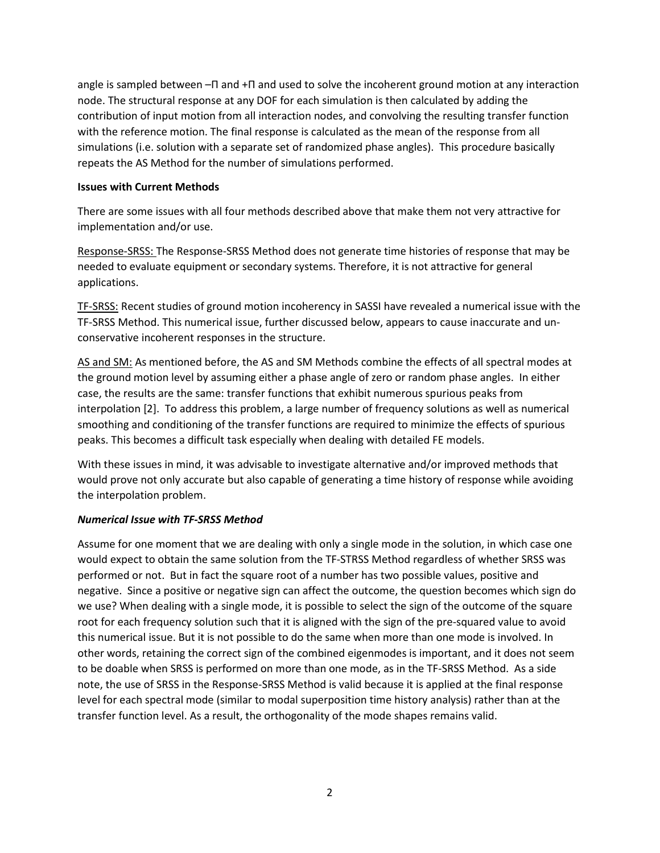angle is sampled between –П and +П and used to solve the incoherent ground motion at any interaction node. The structural response at any DOF for each simulation is then calculated by adding the contribution of input motion from all interaction nodes, and convolving the resulting transfer function with the reference motion. The final response is calculated as the mean of the response from all simulations (i.e. solution with a separate set of randomized phase angles). This procedure basically repeats the AS Method for the number of simulations performed.

### **Issues with Current Methods**

There are some issues with all four methods described above that make them not very attractive for implementation and/or use.

Response-SRSS: The Response-SRSS Method does not generate time histories of response that may be needed to evaluate equipment or secondary systems. Therefore, it is not attractive for general applications.

TF-SRSS: Recent studies of ground motion incoherency in SASSI have revealed a numerical issue with the TF-SRSS Method. This numerical issue, further discussed below, appears to cause inaccurate and unconservative incoherent responses in the structure.

AS and SM: As mentioned before, the AS and SM Methods combine the effects of all spectral modes at the ground motion level by assuming either a phase angle of zero or random phase angles. In either case, the results are the same: transfer functions that exhibit numerous spurious peaks from interpolation [2]. To address this problem, a large number of frequency solutions as well as numerical smoothing and conditioning of the transfer functions are required to minimize the effects of spurious peaks. This becomes a difficult task especially when dealing with detailed FE models.

With these issues in mind, it was advisable to investigate alternative and/or improved methods that would prove not only accurate but also capable of generating a time history of response while avoiding the interpolation problem.

# *Numerical Issue with TF-SRSS Method*

Assume for one moment that we are dealing with only a single mode in the solution, in which case one would expect to obtain the same solution from the TF-STRSS Method regardless of whether SRSS was performed or not. But in fact the square root of a number has two possible values, positive and negative. Since a positive or negative sign can affect the outcome, the question becomes which sign do we use? When dealing with a single mode, it is possible to select the sign of the outcome of the square root for each frequency solution such that it is aligned with the sign of the pre-squared value to avoid this numerical issue. But it is not possible to do the same when more than one mode is involved. In other words, retaining the correct sign of the combined eigenmodes is important, and it does not seem to be doable when SRSS is performed on more than one mode, as in the TF-SRSS Method. As a side note, the use of SRSS in the Response-SRSS Method is valid because it is applied at the final response level for each spectral mode (similar to modal superposition time history analysis) rather than at the transfer function level. As a result, the orthogonality of the mode shapes remains valid.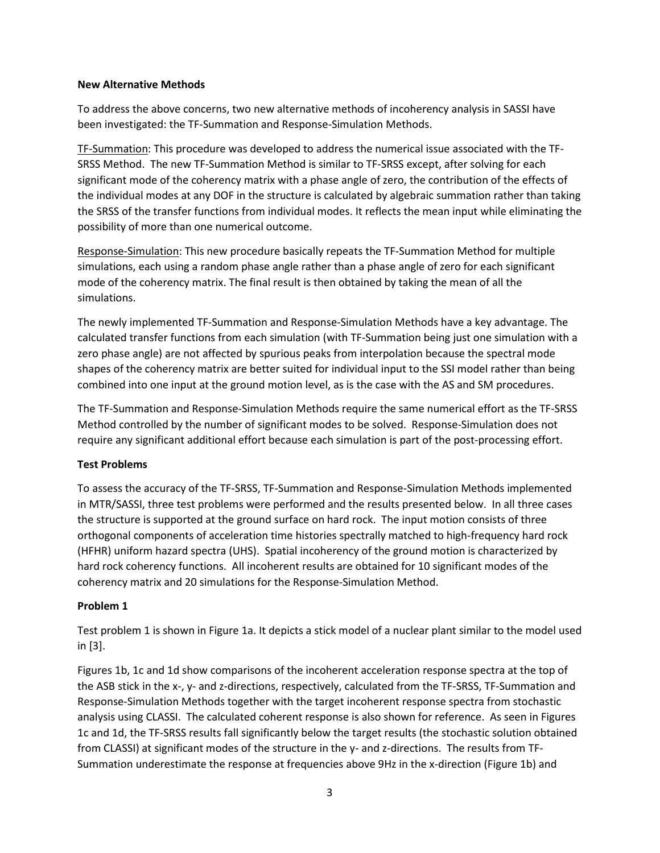#### **New Alternative Methods**

To address the above concerns, two new alternative methods of incoherency analysis in SASSI have been investigated: the TF-Summation and Response-Simulation Methods.

TF-Summation: This procedure was developed to address the numerical issue associated with the TF-SRSS Method. The new TF-Summation Method is similar to TF-SRSS except, after solving for each significant mode of the coherency matrix with a phase angle of zero, the contribution of the effects of the individual modes at any DOF in the structure is calculated by algebraic summation rather than taking the SRSS of the transfer functions from individual modes. It reflects the mean input while eliminating the possibility of more than one numerical outcome.

Response-Simulation: This new procedure basically repeats the TF-Summation Method for multiple simulations, each using a random phase angle rather than a phase angle of zero for each significant mode of the coherency matrix. The final result is then obtained by taking the mean of all the simulations.

The newly implemented TF-Summation and Response-Simulation Methods have a key advantage. The calculated transfer functions from each simulation (with TF-Summation being just one simulation with a zero phase angle) are not affected by spurious peaks from interpolation because the spectral mode shapes of the coherency matrix are better suited for individual input to the SSI model rather than being combined into one input at the ground motion level, as is the case with the AS and SM procedures.

The TF-Summation and Response-Simulation Methods require the same numerical effort as the TF-SRSS Method controlled by the number of significant modes to be solved. Response-Simulation does not require any significant additional effort because each simulation is part of the post-processing effort.

### **Test Problems**

To assess the accuracy of the TF-SRSS, TF-Summation and Response-Simulation Methods implemented in MTR/SASSI, three test problems were performed and the results presented below. In all three cases the structure is supported at the ground surface on hard rock. The input motion consists of three orthogonal components of acceleration time histories spectrally matched to high-frequency hard rock (HFHR) uniform hazard spectra (UHS). Spatial incoherency of the ground motion is characterized by hard rock coherency functions. All incoherent results are obtained for 10 significant modes of the coherency matrix and 20 simulations for the Response-Simulation Method.

### **Problem 1**

Test problem 1 is shown in Figure 1a. It depicts a stick model of a nuclear plant similar to the model used in [3].

Figures 1b, 1c and 1d show comparisons of the incoherent acceleration response spectra at the top of the ASB stick in the x-, y- and z-directions, respectively, calculated from the TF-SRSS, TF-Summation and Response-Simulation Methods together with the target incoherent response spectra from stochastic analysis using CLASSI. The calculated coherent response is also shown for reference. As seen in Figures 1c and 1d, the TF-SRSS results fall significantly below the target results (the stochastic solution obtained from CLASSI) at significant modes of the structure in the y- and z-directions. The results from TF-Summation underestimate the response at frequencies above 9Hz in the x-direction (Figure 1b) and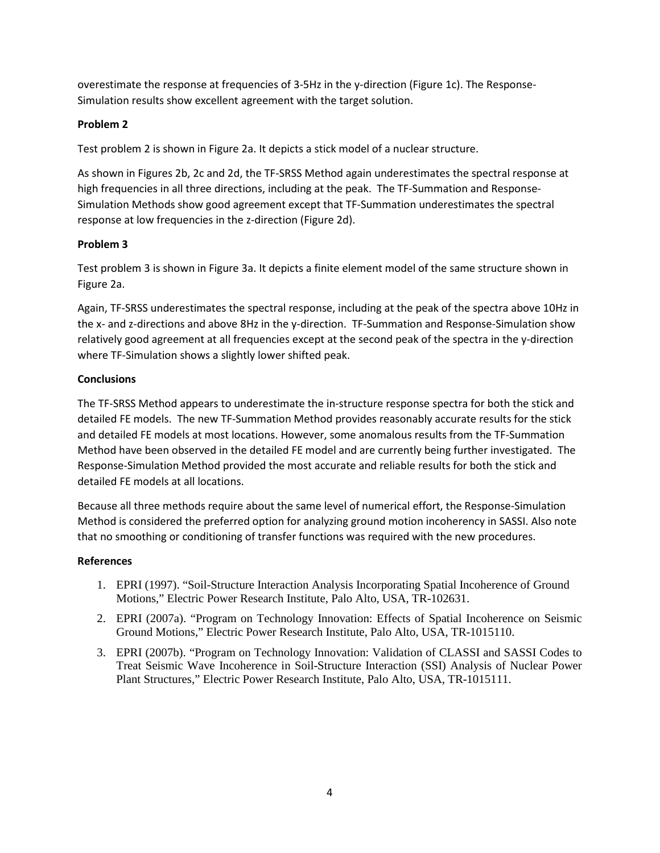overestimate the response at frequencies of 3-5Hz in the y-direction (Figure 1c). The Response-Simulation results show excellent agreement with the target solution.

# **Problem 2**

Test problem 2 is shown in Figure 2a. It depicts a stick model of a nuclear structure.

As shown in Figures 2b, 2c and 2d, the TF-SRSS Method again underestimates the spectral response at high frequencies in all three directions, including at the peak. The TF-Summation and Response-Simulation Methods show good agreement except that TF-Summation underestimates the spectral response at low frequencies in the z-direction (Figure 2d).

## **Problem 3**

Test problem 3 is shown in Figure 3a. It depicts a finite element model of the same structure shown in Figure 2a.

Again, TF-SRSS underestimates the spectral response, including at the peak of the spectra above 10Hz in the x- and z-directions and above 8Hz in the y-direction. TF-Summation and Response-Simulation show relatively good agreement at all frequencies except at the second peak of the spectra in the y-direction where TF-Simulation shows a slightly lower shifted peak.

## **Conclusions**

The TF-SRSS Method appears to underestimate the in-structure response spectra for both the stick and detailed FE models. The new TF-Summation Method provides reasonably accurate results for the stick and detailed FE models at most locations. However, some anomalous results from the TF-Summation Method have been observed in the detailed FE model and are currently being further investigated. The Response-Simulation Method provided the most accurate and reliable results for both the stick and detailed FE models at all locations.

Because all three methods require about the same level of numerical effort, the Response-Simulation Method is considered the preferred option for analyzing ground motion incoherency in SASSI. Also note that no smoothing or conditioning of transfer functions was required with the new procedures.

# **References**

- 1. EPRI (1997). "Soil-Structure Interaction Analysis Incorporating Spatial Incoherence of Ground Motions," Electric Power Research Institute, Palo Alto, USA, TR-102631.
- 2. EPRI (2007a). "Program on Technology Innovation: Effects of Spatial Incoherence on Seismic Ground Motions," Electric Power Research Institute, Palo Alto, USA, TR-1015110.
- 3. EPRI (2007b). "Program on Technology Innovation: Validation of CLASSI and SASSI Codes to Treat Seismic Wave Incoherence in Soil-Structure Interaction (SSI) Analysis of Nuclear Power Plant Structures," Electric Power Research Institute, Palo Alto, USA, TR-1015111.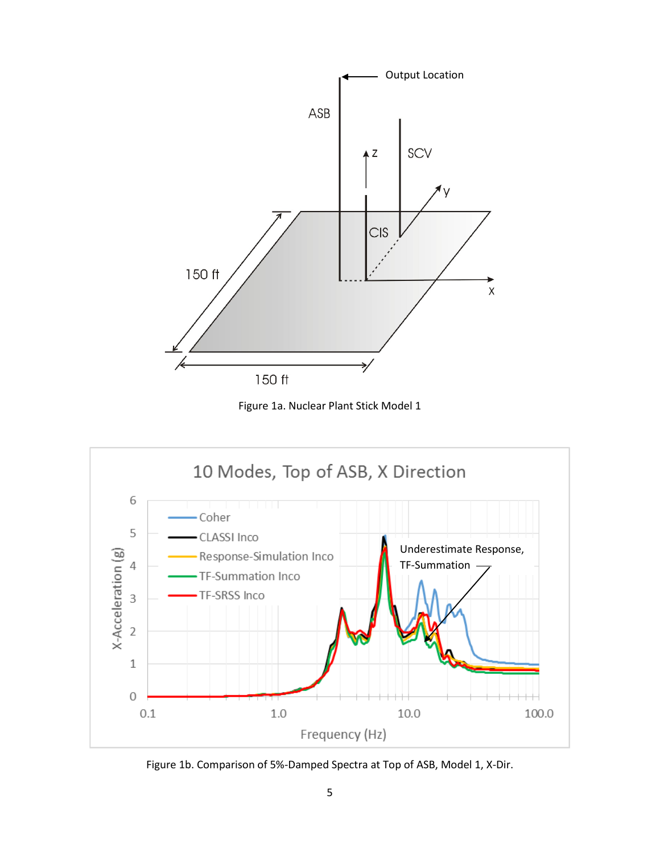

Figure 1a. Nuclear Plant Stick Model 1



Figure 1b. Comparison of 5%-Damped Spectra at Top of ASB, Model 1, X-Dir.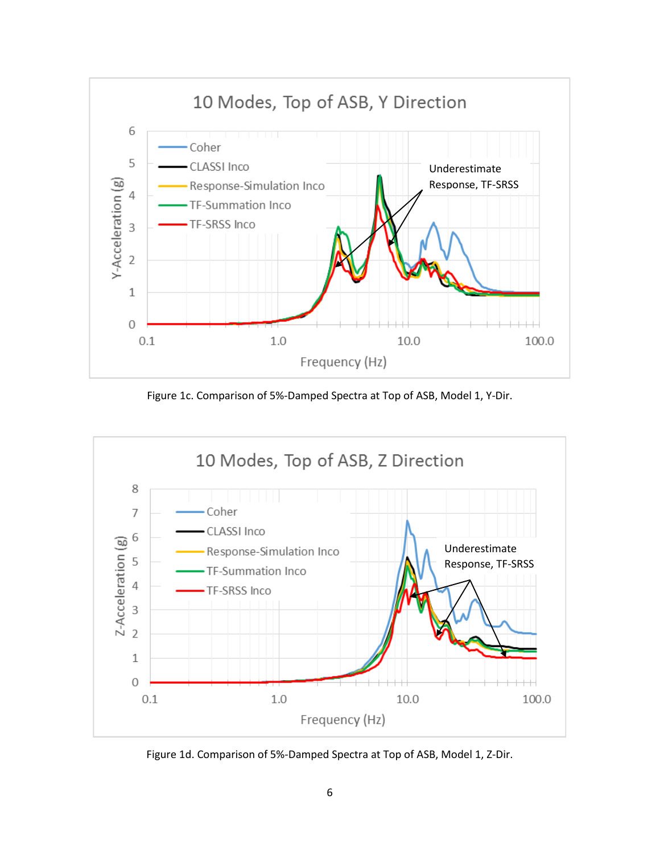

Figure 1c. Comparison of 5%-Damped Spectra at Top of ASB, Model 1, Y-Dir.



Figure 1d. Comparison of 5%-Damped Spectra at Top of ASB, Model 1, Z-Dir.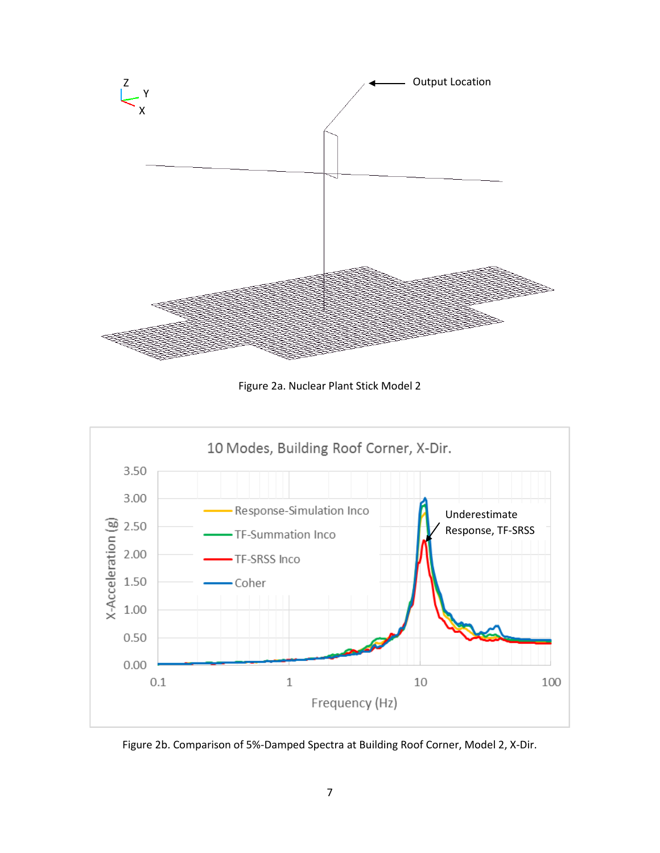

Figure 2a. Nuclear Plant Stick Model 2



Figure 2b. Comparison of 5%-Damped Spectra at Building Roof Corner, Model 2, X-Dir.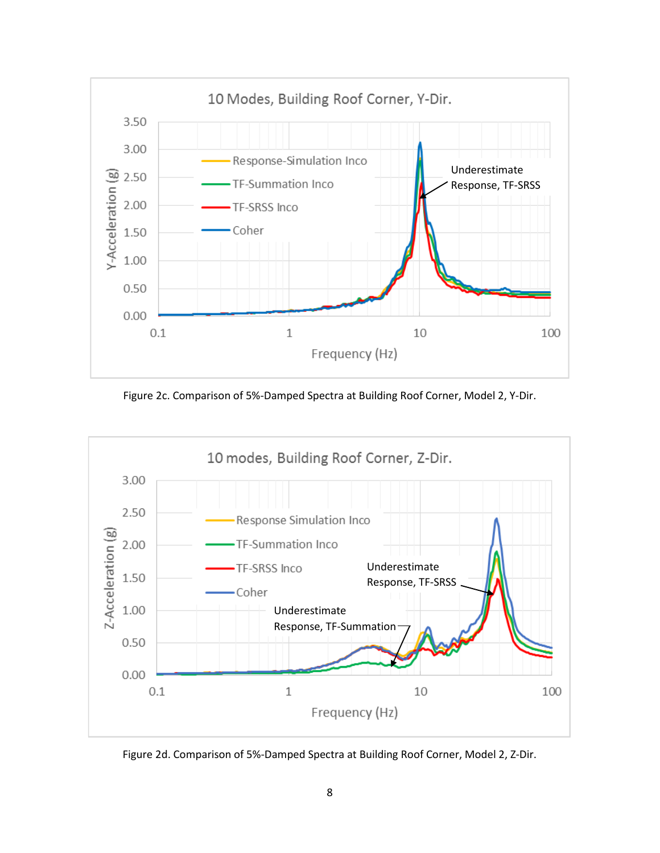

Figure 2c. Comparison of 5%-Damped Spectra at Building Roof Corner, Model 2, Y-Dir.



Figure 2d. Comparison of 5%-Damped Spectra at Building Roof Corner, Model 2, Z-Dir.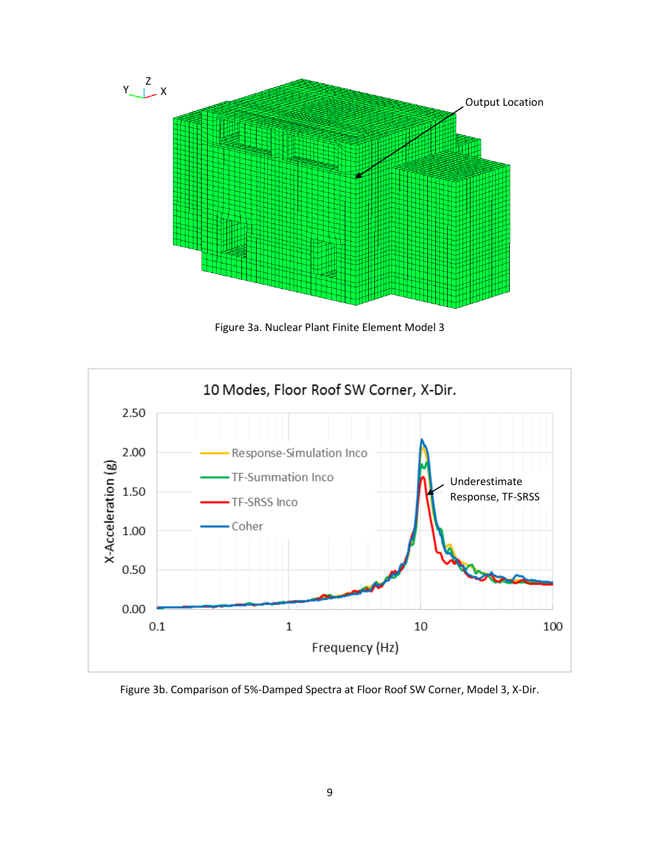

Figure 3a. Nuclear Plant Finite Element Model 3



Figure 3b. Comparison of 5%-Damped Spectra at Floor Roof SW Corner, Model 3, X-Dir.